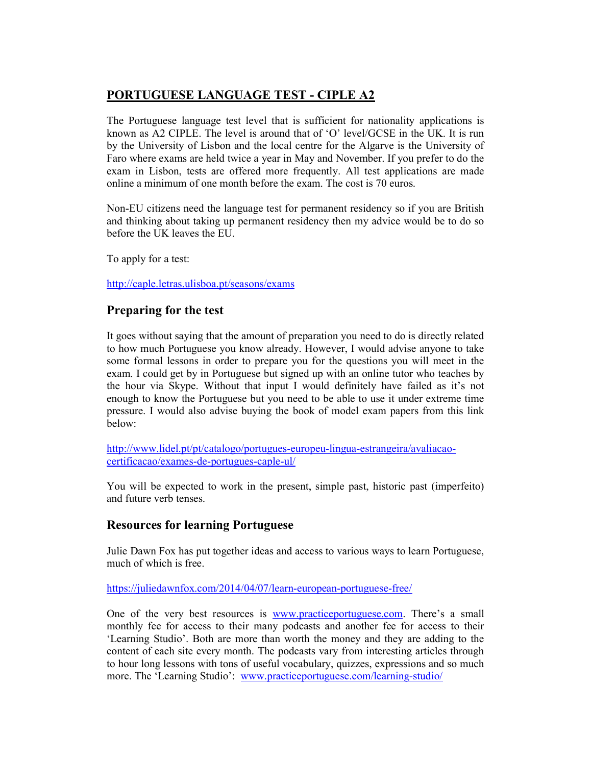## PORTUGUESE LANGUAGE TEST - CIPLE A2

The Portuguese language test level that is sufficient for nationality applications is known as A2 CIPLE. The level is around that of 'O' level/GCSE in the UK. It is run by the University of Lisbon and the local centre for the Algarve is the University of Faro where exams are held twice a year in May and November. If you prefer to do the exam in Lisbon, tests are offered more frequently. All test applications are made online a minimum of one month before the exam. The cost is 70 euros.

Non-EU citizens need the language test for permanent residency so if you are British and thinking about taking up permanent residency then my advice would be to do so before the UK leaves the EU.

To apply for a test:

http://caple.letras.ulisboa.pt/seasons/exams

## Preparing for the test

It goes without saying that the amount of preparation you need to do is directly related to how much Portuguese you know already. However, I would advise anyone to take some formal lessons in order to prepare you for the questions you will meet in the exam. I could get by in Portuguese but signed up with an online tutor who teaches by the hour via Skype. Without that input I would definitely have failed as it's not enough to know the Portuguese but you need to be able to use it under extreme time pressure. I would also advise buying the book of model exam papers from this link below:

http://www.lidel.pt/pt/catalogo/portugues-europeu-lingua-estrangeira/avaliacaocertificacao/exames-de-portugues-caple-ul/

You will be expected to work in the present, simple past, historic past (imperfeito) and future verb tenses.

## Resources for learning Portuguese

Julie Dawn Fox has put together ideas and access to various ways to learn Portuguese, much of which is free.

https://juliedawnfox.com/2014/04/07/learn-european-portuguese-free/

One of the very best resources is www.practiceportuguese.com. There's a small monthly fee for access to their many podcasts and another fee for access to their 'Learning Studio'. Both are more than worth the money and they are adding to the content of each site every month. The podcasts vary from interesting articles through to hour long lessons with tons of useful vocabulary, quizzes, expressions and so much more. The 'Learning Studio': www.practiceportuguese.com/learning-studio/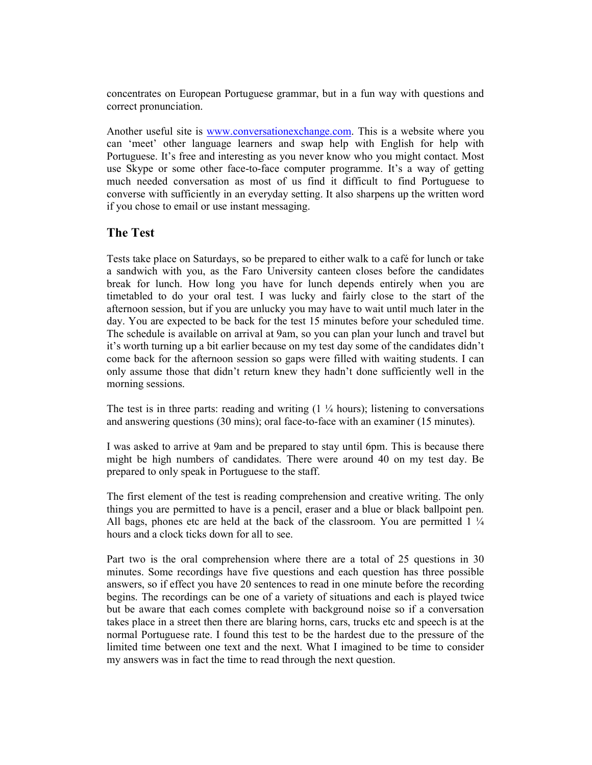concentrates on European Portuguese grammar, but in a fun way with questions and correct pronunciation.

Another useful site is www.conversationexchange.com. This is a website where you can 'meet' other language learners and swap help with English for help with Portuguese. It's free and interesting as you never know who you might contact. Most use Skype or some other face-to-face computer programme. It's a way of getting much needed conversation as most of us find it difficult to find Portuguese to converse with sufficiently in an everyday setting. It also sharpens up the written word if you chose to email or use instant messaging.

## The Test

Tests take place on Saturdays, so be prepared to either walk to a café for lunch or take a sandwich with you, as the Faro University canteen closes before the candidates break for lunch. How long you have for lunch depends entirely when you are timetabled to do your oral test. I was lucky and fairly close to the start of the afternoon session, but if you are unlucky you may have to wait until much later in the day. You are expected to be back for the test 15 minutes before your scheduled time. The schedule is available on arrival at 9am, so you can plan your lunch and travel but it's worth turning up a bit earlier because on my test day some of the candidates didn't come back for the afternoon session so gaps were filled with waiting students. I can only assume those that didn't return knew they hadn't done sufficiently well in the morning sessions.

The test is in three parts: reading and writing  $(1 \frac{1}{4} \text{ hours})$ ; listening to conversations and answering questions (30 mins); oral face-to-face with an examiner (15 minutes).

I was asked to arrive at 9am and be prepared to stay until 6pm. This is because there might be high numbers of candidates. There were around 40 on my test day. Be prepared to only speak in Portuguese to the staff.

The first element of the test is reading comprehension and creative writing. The only things you are permitted to have is a pencil, eraser and a blue or black ballpoint pen. All bags, phones etc are held at the back of the classroom. You are permitted  $1\frac{1}{4}$ hours and a clock ticks down for all to see.

Part two is the oral comprehension where there are a total of 25 questions in 30 minutes. Some recordings have five questions and each question has three possible answers, so if effect you have 20 sentences to read in one minute before the recording begins. The recordings can be one of a variety of situations and each is played twice but be aware that each comes complete with background noise so if a conversation takes place in a street then there are blaring horns, cars, trucks etc and speech is at the normal Portuguese rate. I found this test to be the hardest due to the pressure of the limited time between one text and the next. What I imagined to be time to consider my answers was in fact the time to read through the next question.